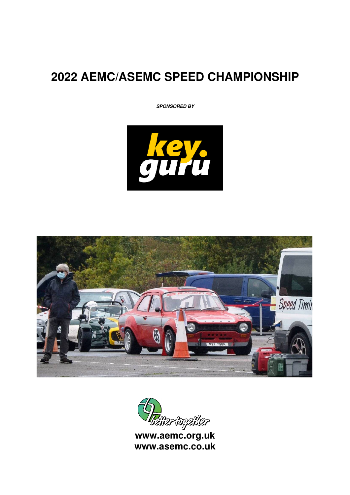# **2022 AEMC/ASEMC SPEED CHAMPIONSHIP**

**SPONSORED BY** 







**www.asemc.co.uk**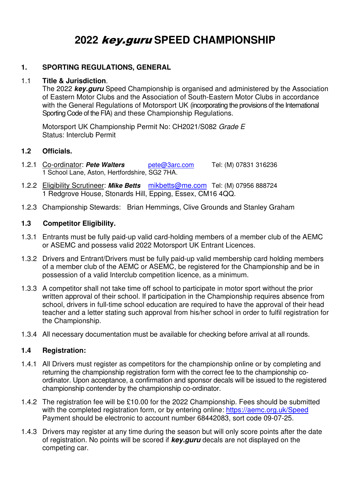# **2022** key.guru **SPEED CHAMPIONSHIP**

#### **1. SPORTING REGULATIONS, GENERAL**

#### 1.1 **Title & Jurisdiction**.

The 2022 **key.guru** Speed Championship is organised and administered by the Association of Eastern Motor Clubs and the Association of South-Eastern Motor Clubs in accordance with the General Regulations of Motorsport UK (incorporating the provisions of the International Sporting Code of the FIA) and these Championship Regulations.

 Motorsport UK Championship Permit No: CH2021/S082 Grade E Status: Interclub Permit

#### **1.2 Officials.**

- 1.2.1 Co-ordinator: **Pete Walters** pete@3arc.com Tel: (M) 07831 316236 1 School Lane, Aston, Hertfordshire, SG2 7HA.
- 1.2.2 Eligibility Scrutineer: **Mike Betts** mikbetts@me.com Tel: (M) 07956 888724 1 Redgrove House, Stonards Hill, Epping, Essex, CM16 4QQ.
- 1.2.3 Championship Stewards: Brian Hemmings, Clive Grounds and Stanley Graham

#### **1.3 Competitor Eligibility.**

- 1.3.1 Entrants must be fully paid-up valid card-holding members of a member club of the AEMC or ASEMC and possess valid 2022 Motorsport UK Entrant Licences.
- 1.3.2 Drivers and Entrant/Drivers must be fully paid-up valid membership card holding members of a member club of the AEMC or ASEMC, be registered for the Championship and be in possession of a valid Interclub competition licence, as a minimum.
- 1.3.3 A competitor shall not take time off school to participate in motor sport without the prior written approval of their school. If participation in the Championship requires absence from school, drivers in full-time school education are required to have the approval of their head teacher and a letter stating such approval from his/her school in order to fulfil registration for the Championship.
- 1.3.4 All necessary documentation must be available for checking before arrival at all rounds.

#### **1.4 Registration:**

- 1.4.1 All Drivers must register as competitors for the championship online or by completing and returning the championship registration form with the correct fee to the championship coordinator. Upon acceptance, a confirmation and sponsor decals will be issued to the registered championship contender by the championship co-ordinator.
- 1.4.2 The registration fee will be £10.00 for the 2022 Championship. Fees should be submitted with the completed registration form, or by entering online: https://aemc.org.uk/Speed Payment should be electronic to account number 68442083, sort code 09-07-25.
- 1.4.3 Drivers may register at any time during the season but will only score points after the date of registration. No points will be scored if **key.guru** decals are not displayed on the competing car.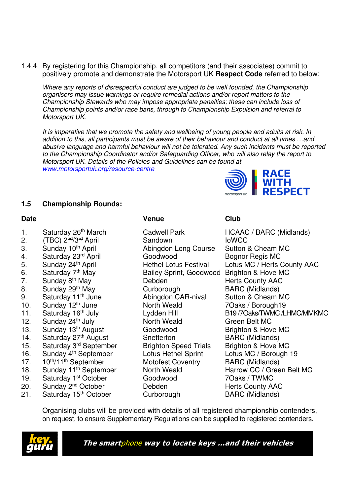1.4.4 By registering for this Championship, all competitors (and their associates) commit to positively promote and demonstrate the Motorsport UK **Respect Code** referred to below:

Where any reports of disrespectful conduct are judged to be well founded, the Championship organisers may issue warnings or require remedial actions and/or report matters to the Championship Stewards who may impose appropriate penalties; these can include loss of Championship points and/or race bans, through to Championship Expulsion and referral to Motorsport UK.

It is imperative that we promote the safety and wellbeing of young people and adults at risk. In addition to this, all participants must be aware of their behaviour and conduct at all times …and abusive language and harmful behaviour will not be tolerated. Any such incidents must be reported to the Championship Coordinator and/or Safeguarding Officer, who will also relay the report to Motorsport UK. Details of the Policies and Guidelines can be found at www.motorsportuk.org/resource-centre



### **1.5 Championship Rounds:**

| <b>Date</b> |                                                      | Venue                          | Club                                    |
|-------------|------------------------------------------------------|--------------------------------|-----------------------------------------|
| 1.          | Saturday 26 <sup>th</sup> March                      | Cadwell Park                   | HCAAC / BARC (Midlands)<br><b>loWGG</b> |
| 2.          | <del>(TBC) 2<sup>nd</sup>/3<sup>rd</sup> April</del> | <b>Sandown</b>                 |                                         |
| 3.          | Sunday 10th April                                    | Abingdon Long Course           | Sutton & Cheam MC                       |
| 4.          | Saturday 23rd April                                  | Goodwood                       | Bognor Regis MC                         |
| 5.          | Sunday 24th April                                    | <b>Hethel Lotus Festival</b>   | Lotus MC / Herts County AAC             |
| 6.          | Saturday 7 <sup>th</sup> May                         | <b>Bailey Sprint, Goodwood</b> | Brighton & Hove MC                      |
| 7.          | Sunday 8 <sup>th</sup> May                           | Debden                         | <b>Herts County AAC</b>                 |
| 8.          | Sunday 29th May                                      | Curborough                     | <b>BARC</b> (Midlands)                  |
| 9.          | Saturday 11 <sup>th</sup> June                       | Abingdon CAR-nival             | Sutton & Cheam MC                       |
| 10.         | Sunday 12 <sup>th</sup> June                         | North Weald                    | 7Oaks / Borough19                       |
| 11.         | Saturday 16 <sup>th</sup> July                       | Lydden Hill                    | B19/7Oaks/TWMC/LHMC/MMKMC               |
| 12.         | Sunday 24th July                                     | North Weald                    | Green Belt MC                           |
| 13.         | Sunday 13 <sup>th</sup> August                       | Goodwood                       | Brighton & Hove MC                      |
| 14.         | Saturday 27th August                                 | Snetterton                     | <b>BARC</b> (Midlands)                  |
| 15.         | Saturday 3 <sup>rd</sup> September                   | <b>Brighton Speed Trials</b>   | Brighton & Hove MC                      |
| 16.         | Sunday 4 <sup>th</sup> September                     | Lotus Hethel Sprint            | Lotus MC / Borough 19                   |
| 17.         | 10 <sup>th</sup> /11 <sup>th</sup> September         | <b>Motofest Coventry</b>       | <b>BARC</b> (Midlands)                  |
| 18.         | Sunday 11 <sup>th</sup> September                    | North Weald                    | Harrow CC / Green Belt MC               |
| 19.         | Saturday 1 <sup>st</sup> October                     | Goodwood                       | 7Oaks / TWMC                            |
| 20.         | Sunday 2 <sup>nd</sup> October                       | Debden                         | <b>Herts County AAC</b>                 |
| 21.         | Saturday 15 <sup>th</sup> October                    | Curborough                     | <b>BARC</b> (Midlands)                  |

Organising clubs will be provided with details of all registered championship contenders, on request, to ensure Supplementary Regulations can be supplied to registered contenders.



The smartphone way to locate keys …and their vehicles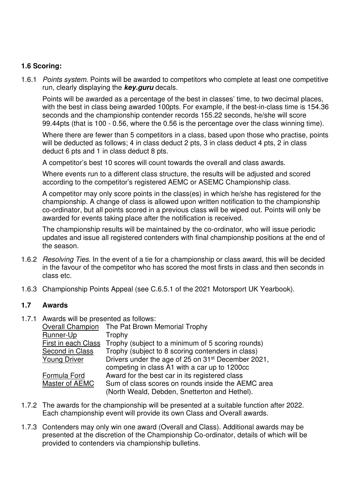#### **1.6 Scoring:**

1.6.1 Points system. Points will be awarded to competitors who complete at least one competitive run, clearly displaying the **key.guru** decals.

 Points will be awarded as a percentage of the best in classes' time, to two decimal places, with the best in class being awarded 100pts. For example, if the best-in-class time is 154.36 seconds and the championship contender records 155.22 seconds, he/she will score 99.44pts (that is 100 - 0.56, where the 0.56 is the percentage over the class winning time).

Where there are fewer than 5 competitors in a class, based upon those who practise, points will be deducted as follows; 4 in class deduct 2 pts, 3 in class deduct 4 pts, 2 in class deduct 6 pts and 1 in class deduct 8 pts.

A competitor's best 10 scores will count towards the overall and class awards.

 Where events run to a different class structure, the results will be adjusted and scored according to the competitor's registered AEMC or ASEMC Championship class.

 A competitor may only score points in the class(es) in which he/she has registered for the championship. A change of class is allowed upon written notification to the championship co-ordinator, but all points scored in a previous class will be wiped out. Points will only be awarded for events taking place after the notification is received.

 The championship results will be maintained by the co-ordinator, who will issue periodic updates and issue all registered contenders with final championship positions at the end of the season.

- 1.6.2 Resolving Ties. In the event of a tie for a championship or class award, this will be decided in the favour of the competitor who has scored the most firsts in class and then seconds in class etc.
- 1.6.3 Championship Points Appeal (see C.6.5.1 of the 2021 Motorsport UK Yearbook).

#### **1.7 Awards**

1.7.1 Awards will be presented as follows:

|                        | <b>Overall Champion</b> The Pat Brown Memorial Trophy          |
|------------------------|----------------------------------------------------------------|
| Runner-Up              | Trophy                                                         |
| First in each Class    | Trophy (subject to a minimum of 5 scoring rounds)              |
| <b>Second in Class</b> | Trophy (subject to 8 scoring contenders in class)              |
| <b>Young Driver</b>    | Drivers under the age of 25 on 31 <sup>st</sup> December 2021, |
|                        | competing in class A1 with a car up to 1200cc                  |
| Formula Ford           | Award for the best car in its registered class                 |
| Master of AEMC         | Sum of class scores on rounds inside the AEMC area             |
|                        | (North Weald, Debden, Snetterton and Hethel).                  |

- 1.7.2 The awards for the championship will be presented at a suitable function after 2022. Each championship event will provide its own Class and Overall awards.
- 1.7.3 Contenders may only win one award (Overall and Class). Additional awards may be presented at the discretion of the Championship Co-ordinator, details of which will be provided to contenders via championship bulletins.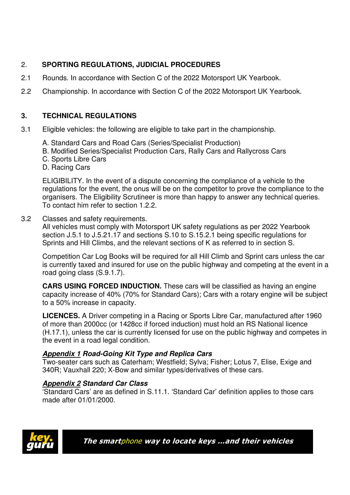## 2. **SPORTING REGULATIONS, JUDICIAL PROCEDURES**

- 2.1 Rounds. In accordance with Section C of the 2022 Motorsport UK Yearbook.
- 2.2 Championship. In accordance with Section C of the 2022 Motorsport UK Yearbook.

### **3. TECHNICAL REGULATIONS**

- 3.1 Eligible vehicles: the following are eligible to take part in the championship.
	- A. Standard Cars and Road Cars (Series/Specialist Production)
	- B. Modified Series/Specialist Production Cars, Rally Cars and Rallycross Cars
	- C. Sports Libre Cars
	- D. Racing Cars

ELIGIBILITY. In the event of a dispute concerning the compliance of a vehicle to the regulations for the event, the onus will be on the competitor to prove the compliance to the organisers. The Eligibility Scrutineer is more than happy to answer any technical queries. To contact him refer to section 1.2.2.

#### 3.2 Classes and safety requirements.

All vehicles must comply with Motorsport UK safety regulations as per 2022 Yearbook section J.5.1 to J.5.21.17 and sections S.10 to S.15.2.1 being specific regulations for Sprints and Hill Climbs, and the relevant sections of K as referred to in section S.

Competition Car Log Books will be required for all Hill Climb and Sprint cars unless the car is currently taxed and insured for use on the public highway and competing at the event in a road going class (S.9.1.7).

**CARS USING FORCED INDUCTION.** These cars will be classified as having an engine capacity increase of 40% (70% for Standard Cars); Cars with a rotary engine will be subject to a 50% increase in capacity.

**LICENCES.** A Driver competing in a Racing or Sports Libre Car, manufactured after 1960 of more than 2000cc (or 1428cc if forced induction) must hold an RS National licence (H.17.1), unless the car is currently licensed for use on the public highway and competes in the event in a road legal condition.

## **Appendix 1 Road-Going Kit Type and Replica Cars**

Two-seater cars such as Caterham; Westfield; Sylva; Fisher; Lotus 7, Elise, Exige and 340R; Vauxhall 220; X-Bow and similar types/derivatives of these cars.

#### **Appendix 2 Standard Car Class**

'Standard Cars' are as defined in S.11.1. 'Standard Car' definition applies to those cars made after 01/01/2000.



The smartphone way to locate keys …and their vehicles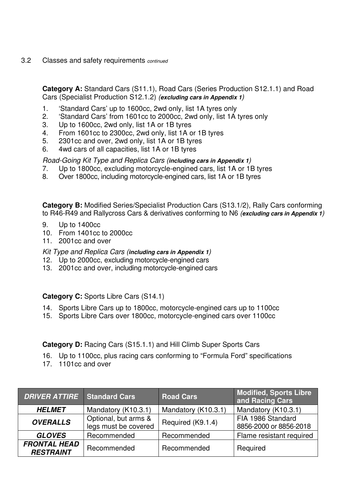3.2 Classes and safety requirements continued

**Category A:** Standard Cars (S11.1), Road Cars (Series Production S12.1.1) and Road Cars (Specialist Production S12.1.2) (**excluding cars in Appendix 1**)

- 1. 'Standard Cars' up to 1600cc, 2wd only, list 1A tyres only
- 2. 'Standard Cars' from 1601cc to 2000cc, 2wd only, list 1A tyres only
- 3. Up to 1600cc, 2wd only, list 1A or 1B tyres
- 4. From 1601cc to 2300cc, 2wd only, list 1A or 1B tyres
- 5. 2301cc and over, 2wd only, list 1A or 1B tyres
- 6. 4wd cars of all capacities, list 1A or 1B tyres

Road-Going Kit Type and Replica Cars (**including cars in Appendix 1**)

- 7. Up to 1800cc, excluding motorcycle-engined cars, list 1A or 1B tyres
- 8. Over 1800cc, including motorcycle-engined cars, list 1A or 1B tyres

**Category B:** Modified Series/Specialist Production Cars (S13.1/2), Rally Cars conforming to R46-R49 and Rallycross Cars & derivatives conforming to N6 (**excluding cars in Appendix 1**)

- 9. Up to 1400cc
- 10. From 1401cc to 2000cc
- 11. 2001cc and over

Kit Type and Replica Cars (**including cars in Appendix 1**)

- 12. Up to 2000cc, excluding motorcycle-engined cars
- 13. 2001cc and over, including motorcycle-engined cars

**Category C:** Sports Libre Cars (S14.1)

- 14. Sports Libre Cars up to 1800cc, motorcycle-engined cars up to 1100cc
- 15. Sports Libre Cars over 1800cc, motorcycle-engined cars over 1100cc

**Category D:** Racing Cars (S15.1.1) and Hill Climb Super Sports Cars

16. Up to 1100cc, plus racing cars conforming to "Formula Ford" specifications

17. 1101cc and over

| <b>DRIVER ATTIRE</b> Standard Cars      |                                              | <b>Road Cars</b>    | <b>Modified, Sports Libre</b><br>and Racing Cars |
|-----------------------------------------|----------------------------------------------|---------------------|--------------------------------------------------|
| <b>HELMET</b>                           | Mandatory (K10.3.1)                          | Mandatory (K10.3.1) | Mandatory (K10.3.1)                              |
| <b>OVERALLS</b>                         | Optional, but arms &<br>legs must be covered | Required (K9.1.4)   | FIA 1986 Standard<br>8856-2000 or 8856-2018      |
| <b>GLOVES</b>                           | Recommended                                  | Recommended         | Flame resistant required                         |
| <b>FRONTAL HEAD</b><br><b>RESTRAINT</b> | Recommended                                  | Recommended         | Required                                         |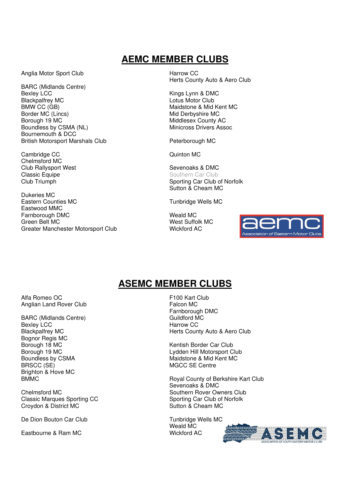## **AEMC MEMBER CLUBS**

Anglia Motor Sport Club Harrow CC

BARC (Midlands Centre) Bexley LCC **Kings Lynn & DMC** Blackpalfrey MC **Lotus Motor Club** BMW CC (GB) The Maidstone & Mid Kent MC Border MC (Lincs) and Derbyshire MC Borough 19 MC<br>Boundless by CSMA (NL) example and the Middlesex County AC<br>Minicross Drivers Assoc Boundless by CSMA (NL) Bournemouth & DCC British Motorsport Marshals Club Peterborough MC

Cambridge CC **Cambridge CC** Quinton MC Chelmsford MC Club Rallysport West Sevenoaks & DMC **Classic Equipe Carrollange Classic Equipe Carrollange Classic Equipe Carrollange Classic Equipe Carrollange Classic Equipment** 

Dukeries MC<br>Eastern Counties MC Eastwood MMC Farnborough DMC Weald MC Green Belt MC<br>
Greater Manchester Motorsport Club<br>
Wickford AC<br>
Wickford AC Greater Manchester Motorsport Club

Herts County Auto & Aero Club

Club Triumph Sporting Car Club of Norfolk Sutton & Cheam MC

Tunbridge Wells MC



## **ASEMC MEMBER CLUBS**

Alfa Romeo OC **F100 Kart Club**<br>Anglian Land Rover Club<br>Falcon MC Anglian Land Rover Club

BARC (Midlands Centre) Guildford M<br>Bexley LCC Harrow CC Bexley LCC Bognor Regis MC Brighton & Hove MC<br>BMMC

Classic Marques Sporting CC<br>
Croydon & District MC<br>
Croydon & Cheam MC Croydon & District MC

De Dion Bouton Car Club Tunbridge Wells MC

Eastbourne & Ram MC Wickford AC

 Farnborough DMC Blackpalfrey MC **Herts County Auto & Aero Club** 

Kentish Border Car Club Borough 19 MC Lydden Hill Motorsport Club Boundless by CSMA<br>BRSCC (SE) Maidstone & Mid Kent MC<br>MGCC SE Centre **MGCC SE Centre** 

Royal County of Berkshire Kart Club Sevenoaks & DMC Chelmsford MC **Southern Rover Owners Club** 

Weald MC